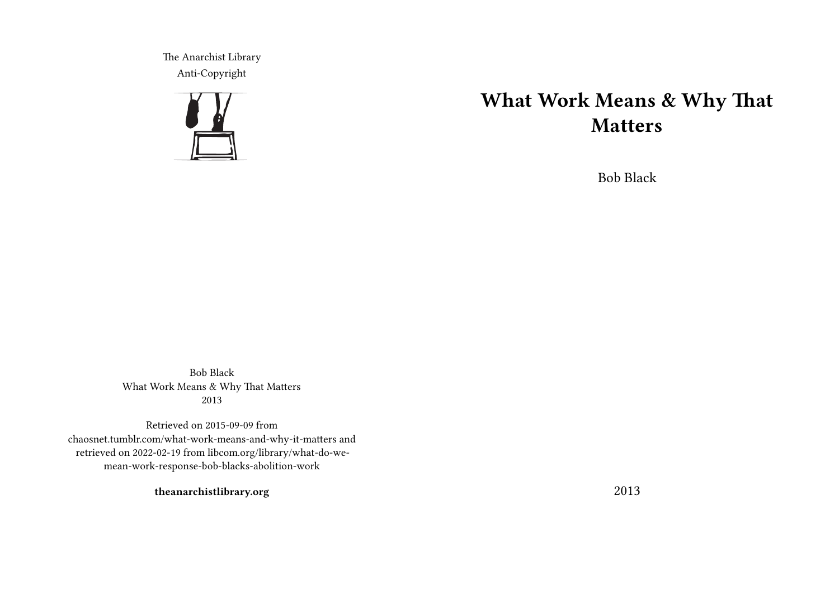The Anarchist Library Anti-Copyright



## **What Work Means & Why That Matters**

Bob Black

Bob Black What Work Means & Why That Matters 2013

Retrieved on 2015-09-09 from chaosnet.tumblr.com/what-work-means-and-why-it-matters and retrieved on 2022-02-19 from libcom.org/library/what-do-wemean-work-response-bob-blacks-abolition-work

**theanarchistlibrary.org**

2013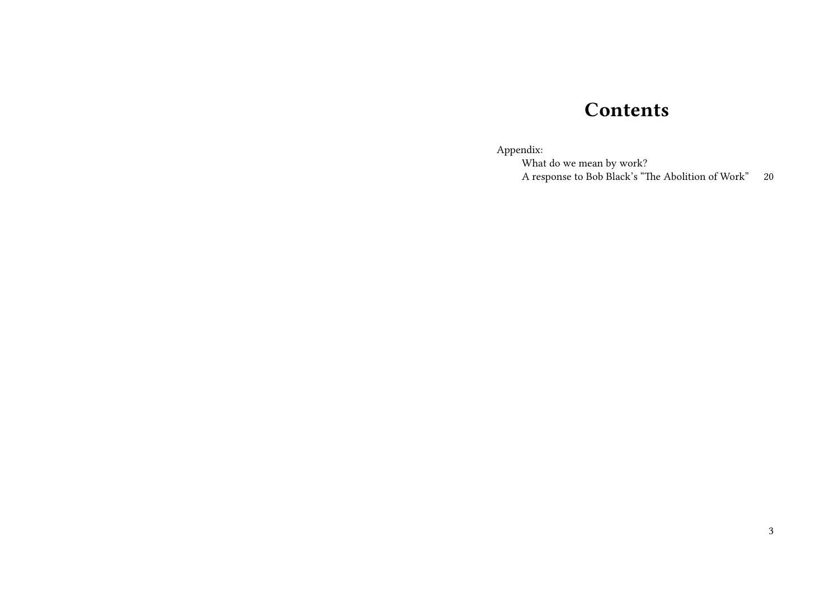## **Contents**

Appendix:

What do we mean by work? A response to Bob Black's "The Abolition of Work" 20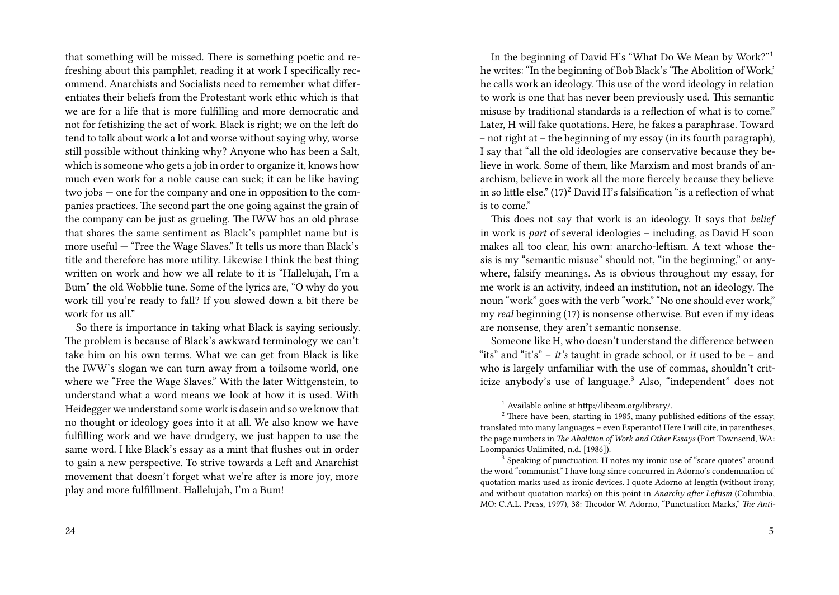that something will be missed. There is something poetic and refreshing about this pamphlet, reading it at work I specifically recommend. Anarchists and Socialists need to remember what differentiates their beliefs from the Protestant work ethic which is that we are for a life that is more fulfilling and more democratic and not for fetishizing the act of work. Black is right; we on the left do tend to talk about work a lot and worse without saying why, worse still possible without thinking why? Anyone who has been a Salt, which is someone who gets a job in order to organize it, knows how much even work for a noble cause can suck; it can be like having two jobs — one for the company and one in opposition to the companies practices. The second part the one going against the grain of the company can be just as grueling. The IWW has an old phrase that shares the same sentiment as Black's pamphlet name but is more useful — "Free the Wage Slaves." It tells us more than Black's title and therefore has more utility. Likewise I think the best thing written on work and how we all relate to it is "Hallelujah, I'm a Bum" the old Wobblie tune. Some of the lyrics are, "O why do you work till you're ready to fall? If you slowed down a bit there be work for us all."

So there is importance in taking what Black is saying seriously. The problem is because of Black's awkward terminology we can't take him on his own terms. What we can get from Black is like the IWW's slogan we can turn away from a toilsome world, one where we "Free the Wage Slaves." With the later Wittgenstein, to understand what a word means we look at how it is used. With Heidegger we understand some work is dasein and so we know that no thought or ideology goes into it at all. We also know we have fulfilling work and we have drudgery, we just happen to use the same word. I like Black's essay as a mint that flushes out in order to gain a new perspective. To strive towards a Left and Anarchist movement that doesn't forget what we're after is more joy, more play and more fulfillment. Hallelujah, I'm a Bum!

In the beginning of David H's "What Do We Mean by Work?"<sup>1</sup> he writes: "In the beginning of Bob Black's 'The Abolition of Work,' he calls work an ideology. This use of the word ideology in relation to work is one that has never been previously used. This semantic misuse by traditional standards is a reflection of what is to come." Later, H will fake quotations. Here, he fakes a paraphrase. Toward – not right at – the beginning of my essay (in its fourth paragraph), I say that "all the old ideologies are conservative because they believe in work. Some of them, like Marxism and most brands of anarchism, believe in work all the more fiercely because they believe in so little else."  $(17)^2$  David H's falsification "is a reflection of what is to come."

This does not say that work is an ideology. It says that *belief* in work is *part* of several ideologies – including, as David H soon makes all too clear, his own: anarcho-leftism. A text whose thesis is my "semantic misuse" should not, "in the beginning," or anywhere, falsify meanings. As is obvious throughout my essay, for me work is an activity, indeed an institution, not an ideology. The noun "work" goes with the verb "work." "No one should ever work," my *real* beginning (17) is nonsense otherwise. But even if my ideas are nonsense, they aren't semantic nonsense.

Someone like H, who doesn't understand the difference between "its" and "it's" – *it's* taught in grade school, or *it* used to be – and who is largely unfamiliar with the use of commas, shouldn't criticize anybody's use of language.<sup>3</sup> Also, "independent" does not

<sup>1</sup> Available online at http://libcom.org/library/.

 $^{2}$  There have been, starting in 1985, many published editions of the essay, translated into many languages – even Esperanto! Here I will cite, in parentheses, the page numbers in *The Abolition of Work and Other Essays* (Port Townsend, WA: Loompanics Unlimited, n.d. [1986]).

<sup>&</sup>lt;sup>3</sup> Speaking of punctuation: H notes my ironic use of "scare quotes" around the word "communist." I have long since concurred in Adorno's condemnation of quotation marks used as ironic devices. I quote Adorno at length (without irony, and without quotation marks) on this point in *Anarchy after Leftism* (Columbia, MO: C.A.L. Press, 1997), 38: Theodor W. Adorno, "Punctuation Marks," *The Anti-*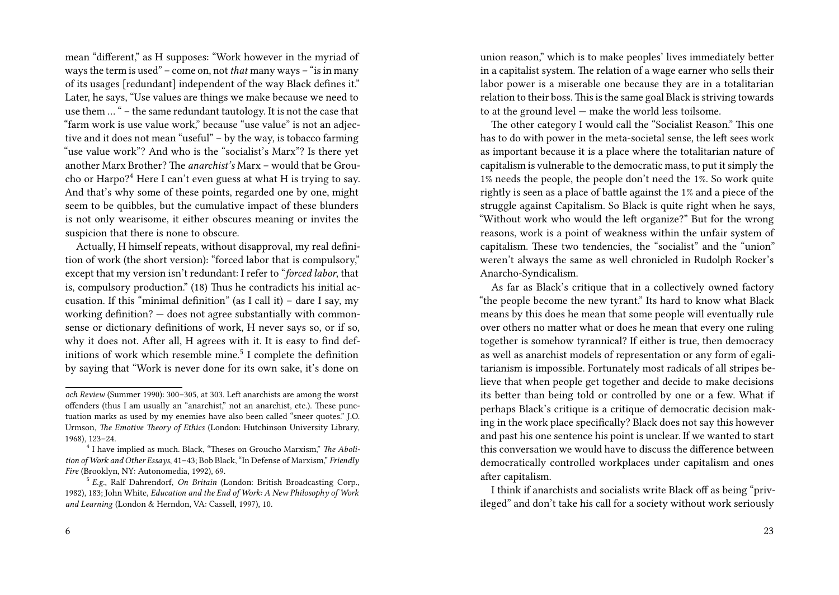mean "different," as H supposes: "Work however in the myriad of ways the term is used" – come on, not *that* many ways – "is in many of its usages [redundant] independent of the way Black defines it." Later, he says, "Use values are things we make because we need to use them … " – the same redundant tautology. It is not the case that "farm work is use value work," because "use value" is not an adjective and it does not mean "useful" – by the way, is tobacco farming "use value work"? And who is the "socialist's Marx"? Is there yet another Marx Brother? The *anarchist's* Marx – would that be Groucho or Harpo?<sup>4</sup> Here I can't even guess at what H is trying to say. And that's why some of these points, regarded one by one, might seem to be quibbles, but the cumulative impact of these blunders is not only wearisome, it either obscures meaning or invites the suspicion that there is none to obscure.

Actually, H himself repeats, without disapproval, my real definition of work (the short version): "forced labor that is compulsory," except that my version isn't redundant: I refer to "*forced labor*, that is, compulsory production." (18) Thus he contradicts his initial accusation. If this "minimal definition" (as I call it) – dare I say, my working definition? — does not agree substantially with commonsense or dictionary definitions of work, H never says so, or if so, why it does not. After all, H agrees with it. It is easy to find definitions of work which resemble mine.<sup>5</sup> I complete the definition by saying that "Work is never done for its own sake, it's done on

union reason," which is to make peoples' lives immediately better in a capitalist system. The relation of a wage earner who sells their labor power is a miserable one because they are in a totalitarian relation to their boss. This is the same goal Black is striving towards to at the ground level — make the world less toilsome.

The other category I would call the "Socialist Reason." This one has to do with power in the meta-societal sense, the left sees work as important because it is a place where the totalitarian nature of capitalism is vulnerable to the democratic mass, to put it simply the 1% needs the people, the people don't need the 1%. So work quite rightly is seen as a place of battle against the 1% and a piece of the struggle against Capitalism. So Black is quite right when he says, "Without work who would the left organize?" But for the wrong reasons, work is a point of weakness within the unfair system of capitalism. These two tendencies, the "socialist" and the "union" weren't always the same as well chronicled in Rudolph Rocker's Anarcho-Syndicalism.

As far as Black's critique that in a collectively owned factory "the people become the new tyrant." Its hard to know what Black means by this does he mean that some people will eventually rule over others no matter what or does he mean that every one ruling together is somehow tyrannical? If either is true, then democracy as well as anarchist models of representation or any form of egalitarianism is impossible. Fortunately most radicals of all stripes believe that when people get together and decide to make decisions its better than being told or controlled by one or a few. What if perhaps Black's critique is a critique of democratic decision making in the work place specifically? Black does not say this however and past his one sentence his point is unclear. If we wanted to start this conversation we would have to discuss the difference between democratically controlled workplaces under capitalism and ones after capitalism.

I think if anarchists and socialists write Black off as being "privileged" and don't take his call for a society without work seriously

*och Review* (Summer 1990): 300–305, at 303. Left anarchists are among the worst offenders (thus I am usually an "anarchist," not an anarchist, etc.). These punctuation marks as used by my enemies have also been called "sneer quotes." J.O. Urmson, *The Emotive Theory of Ethics* (London: Hutchinson University Library, 1968), 123–24.

<sup>4</sup> I have implied as much. Black, "Theses on Groucho Marxism," *The Abolition of Work and Other Essays*, 41–43; Bob Black, "In Defense of Marxism," *Friendly Fire* (Brooklyn, NY: Autonomedia, 1992), 69.

<sup>5</sup> *E.g.*, Ralf Dahrendorf, *On Britain* (London: British Broadcasting Corp., 1982), 183; John White, *Education and the End of Work: A New Philosophy of Work and Learning* (London & Herndon, VA: Cassell, 1997), 10.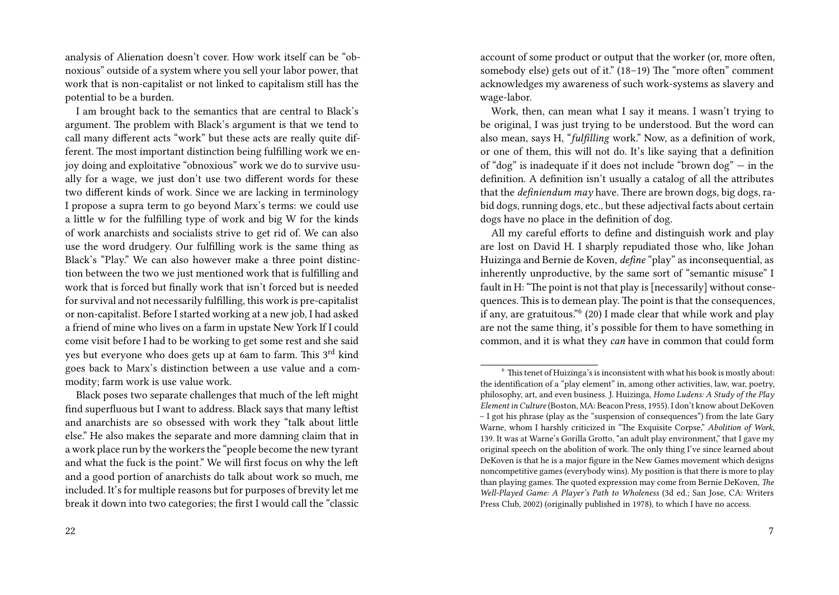analysis of Alienation doesn't cover. How work itself can be "obnoxious" outside of a system where you sell your labor power, that work that is non-capitalist or not linked to capitalism still has the potential to be a burden.

I am brought back to the semantics that are central to Black's argument. The problem with Black's argument is that we tend to call many different acts "work" but these acts are really quite different. The most important distinction being fulfilling work we enjoy doing and exploitative "obnoxious" work we do to survive usually for a wage, we just don't use two different words for these two different kinds of work. Since we are lacking in terminology I propose a supra term to go beyond Marx's terms: we could use a little w for the fulfilling type of work and big W for the kinds of work anarchists and socialists strive to get rid of. We can also use the word drudgery. Our fulfilling work is the same thing as Black's "Play." We can also however make a three point distinction between the two we just mentioned work that is fulfilling and work that is forced but finally work that isn't forced but is needed for survival and not necessarily fulfilling, this work is pre-capitalist or non-capitalist. Before I started working at a new job, I had asked a friend of mine who lives on a farm in upstate New York If I could come visit before I had to be working to get some rest and she said yes but everyone who does gets up at 6am to farm. This 3<sup>rd</sup> kind goes back to Marx's distinction between a use value and a commodity; farm work is use value work.

Black poses two separate challenges that much of the left might find superfluous but I want to address. Black says that many leftist and anarchists are so obsessed with work they "talk about little else." He also makes the separate and more damning claim that in a work place run by the workers the "people become the new tyrant and what the fuck is the point." We will first focus on why the left and a good portion of anarchists do talk about work so much, me included. It's for multiple reasons but for purposes of brevity let me break it down into two categories; the first I would call the "classic

22

account of some product or output that the worker (or, more often, somebody else) gets out of it." (18–19) The "more often" comment acknowledges my awareness of such work-systems as slavery and wage-labor.

Work, then, can mean what I say it means. I wasn't trying to be original, I was just trying to be understood. But the word can also mean, says H, "*fulfilling* work." Now, as a definition of work, or one of them, this will not do. It's like saying that a definition of "dog" is inadequate if it does not include "brown dog" — in the definition. A definition isn't usually a catalog of all the attributes that the *definiendum may* have. There are brown dogs, big dogs, rabid dogs, running dogs, etc., but these adjectival facts about certain dogs have no place in the definition of dog.

All my careful efforts to define and distinguish work and play are lost on David H. I sharply repudiated those who, like Johan Huizinga and Bernie de Koven, *define* "play" as inconsequential, as inherently unproductive, by the same sort of "semantic misuse" I fault in H: "The point is not that play is [necessarily] without consequences. This is to demean play. The point is that the consequences, if any, are gratuitous."<sup>6</sup> (20) I made clear that while work and play are not the same thing, it's possible for them to have something in common, and it is what they *can* have in common that could form

<sup>&</sup>lt;sup>6</sup> This tenet of Huizinga's is inconsistent with what his book is mostly about: the identification of a "play element" in, among other activities, law, war, poetry, philosophy, art, and even business. J. Huizinga, *Homo Ludens: A Study of the Play Element in Culture* (Boston, MA: Beacon Press, 1955). I don't know about DeKoven – I got his phrase (play as the "suspension of consequences") from the late Gary Warne, whom I harshly criticized in "The Exquisite Corpse," *Abolition of Work*, 139. It was at Warne's Gorilla Grotto, "an adult play environment," that I gave my original speech on the abolition of work. The only thing I've since learned about DeKoven is that he is a major figure in the New Games movement which designs noncompetitive games (everybody wins). My position is that there is more to play than playing games. The quoted expression may come from Bernie DeKoven, *The Well-Played Game: A Player's Path to Wholeness* (3d ed.; San Jose, CA: Writers Press Club, 2002) (originally published in 1978), to which I have no access.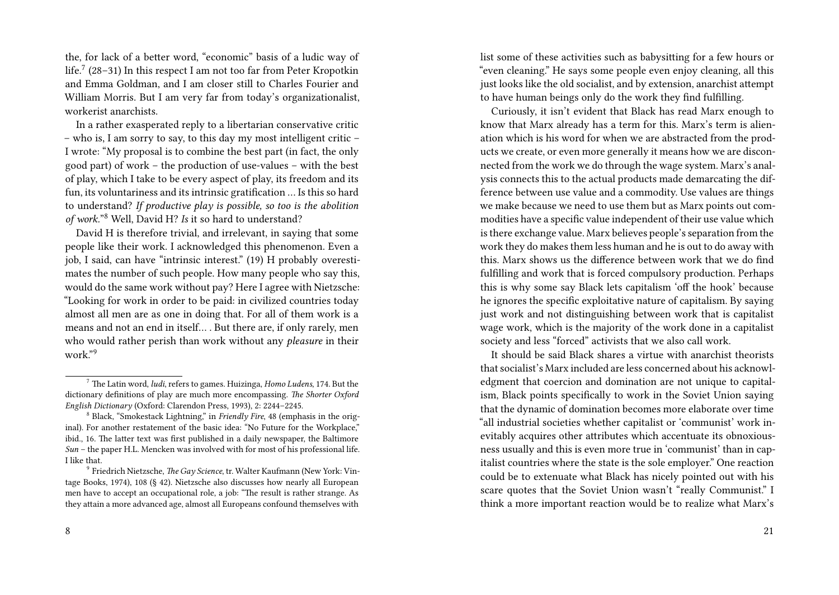the, for lack of a better word, "economic" basis of a ludic way of life. $\frac{7}{2}$  (28–31) In this respect I am not too far from Peter Kropotkin and Emma Goldman, and I am closer still to Charles Fourier and William Morris. But I am very far from today's organizationalist, workerist anarchists.

In a rather exasperated reply to a libertarian conservative critic – who is, I am sorry to say, to this day my most intelligent critic – I wrote: "My proposal is to combine the best part (in fact, the only good part) of work – the production of use-values – with the best of play, which I take to be every aspect of play, its freedom and its fun, its voluntariness and its intrinsic gratification … Is this so hard to understand? *If productive play is possible, so too is the abolition of work.*" <sup>8</sup> Well, David H? *Is* it so hard to understand?

David H is therefore trivial, and irrelevant, in saying that some people like their work. I acknowledged this phenomenon. Even a job, I said, can have "intrinsic interest." (19) H probably overestimates the number of such people. How many people who say this, would do the same work without pay? Here I agree with Nietzsche: "Looking for work in order to be paid: in civilized countries today almost all men are as one in doing that. For all of them work is a means and not an end in itself… . But there are, if only rarely, men who would rather perish than work without any *pleasure* in their work."<sup>9</sup>

list some of these activities such as babysitting for a few hours or "even cleaning." He says some people even enjoy cleaning, all this just looks like the old socialist, and by extension, anarchist attempt to have human beings only do the work they find fulfilling.

Curiously, it isn't evident that Black has read Marx enough to know that Marx already has a term for this. Marx's term is alienation which is his word for when we are abstracted from the products we create, or even more generally it means how we are disconnected from the work we do through the wage system. Marx's analysis connects this to the actual products made demarcating the difference between use value and a commodity. Use values are things we make because we need to use them but as Marx points out commodities have a specific value independent of their use value which is there exchange value. Marx believes people's separation from the work they do makes them less human and he is out to do away with this. Marx shows us the difference between work that we do find fulfilling and work that is forced compulsory production. Perhaps this is why some say Black lets capitalism 'off the hook' because he ignores the specific exploitative nature of capitalism. By saying just work and not distinguishing between work that is capitalist wage work, which is the majority of the work done in a capitalist society and less "forced" activists that we also call work.

It should be said Black shares a virtue with anarchist theorists that socialist's Marx included are less concerned about his acknowledgment that coercion and domination are not unique to capitalism, Black points specifically to work in the Soviet Union saying that the dynamic of domination becomes more elaborate over time "all industrial societies whether capitalist or 'communist' work inevitably acquires other attributes which accentuate its obnoxiousness usually and this is even more true in 'communist' than in capitalist countries where the state is the sole employer." One reaction could be to extenuate what Black has nicely pointed out with his scare quotes that the Soviet Union wasn't "really Communist." I think a more important reaction would be to realize what Marx's

<sup>7</sup> The Latin word, *ludi*, refers to games. Huizinga, *Homo Ludens*, 174. But the dictionary definitions of play are much more encompassing. *The Shorter Oxford English Dictionary* (Oxford: Clarendon Press, 1993), 2: 2244–2245.

<sup>8</sup> Black, "Smokestack Lightning," in *Friendly Fire*, 48 (emphasis in the original). For another restatement of the basic idea: "No Future for the Workplace," ibid., 16. The latter text was first published in a daily newspaper, the Baltimore *Sun* – the paper H.L. Mencken was involved with for most of his professional life. I like that.

<sup>9</sup> Friedrich Nietzsche, *The Gay Science*, tr. Walter Kaufmann (New York: Vintage Books, 1974), 108 (§ 42). Nietzsche also discusses how nearly all European men have to accept an occupational role, a job: "The result is rather strange. As they attain a more advanced age, almost all Europeans confound themselves with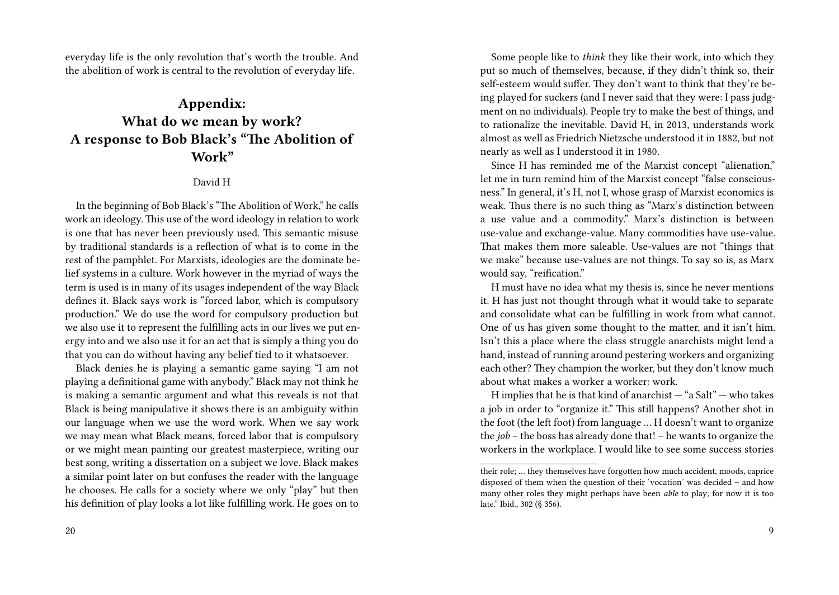everyday life is the only revolution that's worth the trouble. And the abolition of work is central to the revolution of everyday life.

## **Appendix: What do we mean by work? A response to Bob Black's "The Abolition of Work"**

## David H

In the beginning of Bob Black's "The Abolition of Work," he calls work an ideology. This use of the word ideology in relation to work is one that has never been previously used. This semantic misuse by traditional standards is a reflection of what is to come in the rest of the pamphlet. For Marxists, ideologies are the dominate belief systems in a culture. Work however in the myriad of ways the term is used is in many of its usages independent of the way Black defines it. Black says work is "forced labor, which is compulsory production." We do use the word for compulsory production but we also use it to represent the fulfilling acts in our lives we put energy into and we also use it for an act that is simply a thing you do that you can do without having any belief tied to it whatsoever.

Black denies he is playing a semantic game saying "I am not playing a definitional game with anybody." Black may not think he is making a semantic argument and what this reveals is not that Black is being manipulative it shows there is an ambiguity within our language when we use the word work. When we say work we may mean what Black means, forced labor that is compulsory or we might mean painting our greatest masterpiece, writing our best song, writing a dissertation on a subject we love. Black makes a similar point later on but confuses the reader with the language he chooses. He calls for a society where we only "play" but then his definition of play looks a lot like fulfilling work. He goes on to

Some people like to *think* they like their work, into which they put so much of themselves, because, if they didn't think so, their self-esteem would suffer. They don't want to think that they're being played for suckers (and I never said that they were: I pass judgment on no individuals). People try to make the best of things, and to rationalize the inevitable. David H, in 2013, understands work almost as well as Friedrich Nietzsche understood it in 1882, but not nearly as well as I understood it in 1980.

Since H has reminded me of the Marxist concept "alienation," let me in turn remind him of the Marxist concept "false consciousness." In general, it's H, not I, whose grasp of Marxist economics is weak. Thus there is no such thing as "Marx's distinction between a use value and a commodity." Marx's distinction is between use-value and exchange-value. Many commodities have use-value. That makes them more saleable. Use-values are not "things that we make" because use-values are not things. To say so is, as Marx would say, "reification."

H must have no idea what my thesis is, since he never mentions it. H has just not thought through what it would take to separate and consolidate what can be fulfilling in work from what cannot. One of us has given some thought to the matter, and it isn't him. Isn't this a place where the class struggle anarchists might lend a hand, instead of running around pestering workers and organizing each other? They champion the worker, but they don't know much about what makes a worker a worker: work.

H implies that he is that kind of anarchist  $-$  "a Salt"  $-$  who takes a job in order to "organize it." This still happens? Another shot in the foot (the left foot) from language … H doesn't want to organize the *job* – the boss has already done that! – he wants to organize the workers in the workplace. I would like to see some success stories

their role; … they themselves have forgotten how much accident, moods, caprice disposed of them when the question of their 'vocation' was decided – and how many other roles they might perhaps have been *able* to play; for now it is too late." Ibid., 302 (§ 356).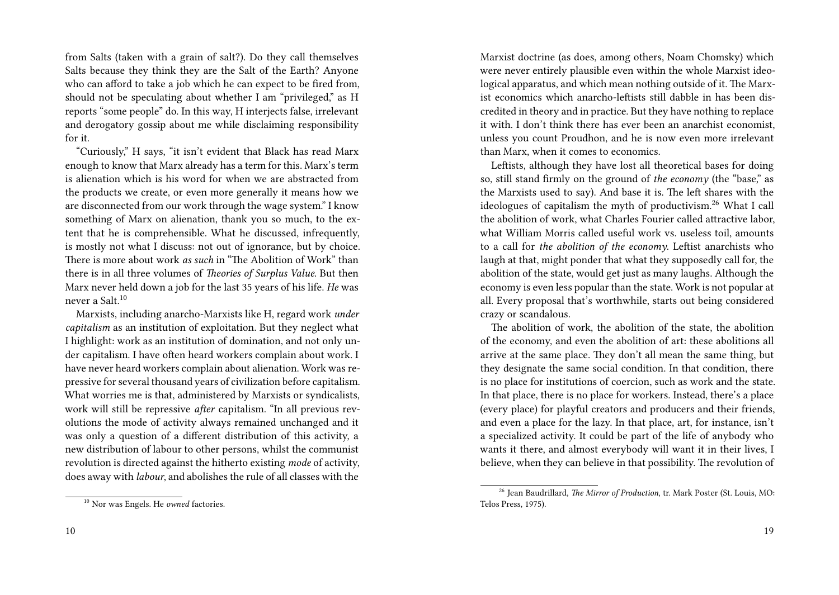from Salts (taken with a grain of salt?). Do they call themselves Salts because they think they are the Salt of the Earth? Anyone who can afford to take a job which he can expect to be fired from, should not be speculating about whether I am "privileged," as H reports "some people" do. In this way, H interjects false, irrelevant and derogatory gossip about me while disclaiming responsibility for it.

"Curiously," H says, "it isn't evident that Black has read Marx enough to know that Marx already has a term for this. Marx's term is alienation which is his word for when we are abstracted from the products we create, or even more generally it means how we are disconnected from our work through the wage system." I know something of Marx on alienation, thank you so much, to the extent that he is comprehensible. What he discussed, infrequently, is mostly not what I discuss: not out of ignorance, but by choice. There is more about work *as such* in "The Abolition of Work" than there is in all three volumes of *Theories of Surplus Value.* But then Marx never held down a job for the last 35 years of his life. *He* was never a Salt.<sup>10</sup>

Marxists, including anarcho-Marxists like H, regard work *under capitalism* as an institution of exploitation. But they neglect what I highlight: work as an institution of domination, and not only under capitalism. I have often heard workers complain about work. I have never heard workers complain about alienation. Work was repressive for several thousand years of civilization before capitalism. What worries me is that, administered by Marxists or syndicalists, work will still be repressive *after* capitalism. "In all previous revolutions the mode of activity always remained unchanged and it was only a question of a different distribution of this activity, a new distribution of labour to other persons, whilst the communist revolution is directed against the hitherto existing *mode* of activity, does away with *labour*, and abolishes the rule of all classes with the Marxist doctrine (as does, among others, Noam Chomsky) which were never entirely plausible even within the whole Marxist ideological apparatus, and which mean nothing outside of it. The Marxist economics which anarcho-leftists still dabble in has been discredited in theory and in practice. But they have nothing to replace it with. I don't think there has ever been an anarchist economist, unless you count Proudhon, and he is now even more irrelevant than Marx, when it comes to economics.

Leftists, although they have lost all theoretical bases for doing so, still stand firmly on the ground of *the economy* (the "base," as the Marxists used to say). And base it is. The left shares with the ideologues of capitalism the myth of productivism.<sup>26</sup> What I call the abolition of work, what Charles Fourier called attractive labor, what William Morris called useful work vs. useless toil, amounts to a call for *the abolition of the economy*. Leftist anarchists who laugh at that, might ponder that what they supposedly call for, the abolition of the state, would get just as many laughs. Although the economy is even less popular than the state. Work is not popular at all. Every proposal that's worthwhile, starts out being considered crazy or scandalous.

The abolition of work, the abolition of the state, the abolition of the economy, and even the abolition of art: these abolitions all arrive at the same place. They don't all mean the same thing, but they designate the same social condition. In that condition, there is no place for institutions of coercion, such as work and the state. In that place, there is no place for workers. Instead, there's a place (every place) for playful creators and producers and their friends, and even a place for the lazy. In that place, art, for instance, isn't a specialized activity. It could be part of the life of anybody who wants it there, and almost everybody will want it in their lives, I believe, when they can believe in that possibility. The revolution of

<sup>10</sup> Nor was Engels. He *owned* factories.

<sup>26</sup> Jean Baudrillard, *The Mirror of Production*, tr. Mark Poster (St. Louis, MO: Telos Press, 1975).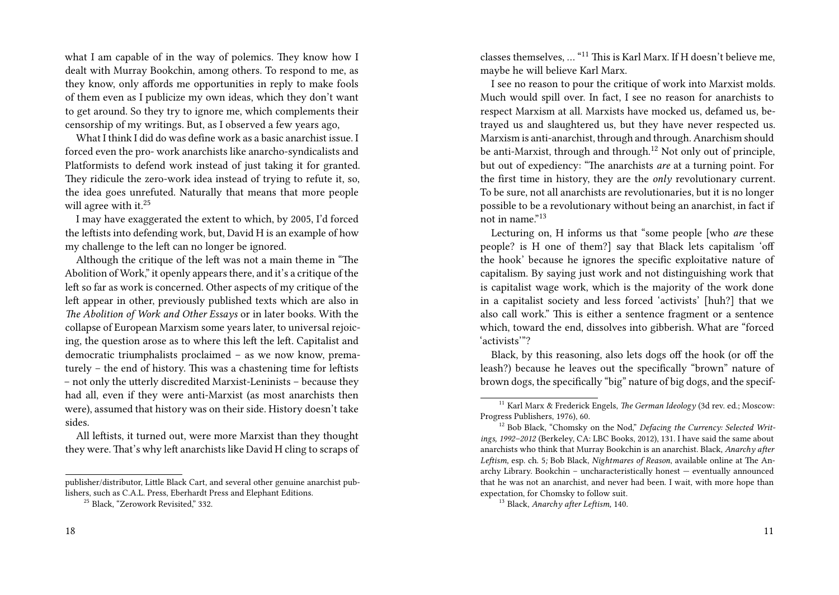what I am capable of in the way of polemics. They know how I dealt with Murray Bookchin, among others. To respond to me, as they know, only affords me opportunities in reply to make fools of them even as I publicize my own ideas, which they don't want to get around. So they try to ignore me, which complements their censorship of my writings. But, as I observed a few years ago,

What I think I did do was define work as a basic anarchist issue. I forced even the pro- work anarchists like anarcho-syndicalists and Platformists to defend work instead of just taking it for granted. They ridicule the zero-work idea instead of trying to refute it, so, the idea goes unrefuted. Naturally that means that more people will agree with it.<sup>25</sup>

I may have exaggerated the extent to which, by 2005, I'd forced the leftists into defending work, but, David H is an example of how my challenge to the left can no longer be ignored.

Although the critique of the left was not a main theme in "The Abolition of Work," it openly appears there, and it's a critique of the left so far as work is concerned. Other aspects of my critique of the left appear in other, previously published texts which are also in *The Abolition of Work and Other Essays* or in later books. With the collapse of European Marxism some years later, to universal rejoicing, the question arose as to where this left the left. Capitalist and democratic triumphalists proclaimed – as we now know, prematurely – the end of history. This was a chastening time for leftists – not only the utterly discredited Marxist-Leninists – because they had all, even if they were anti-Marxist (as most anarchists then were), assumed that history was on their side. History doesn't take sides.

All leftists, it turned out, were more Marxist than they thought they were. That's why left anarchists like David H cling to scraps of

publisher/distributor, Little Black Cart, and several other genuine anarchist publishers, such as C.A.L. Press, Eberhardt Press and Elephant Editions.

classes themselves, … "<sup>11</sup> This is Karl Marx. If H doesn't believe me, maybe he will believe Karl Marx.

I see no reason to pour the critique of work into Marxist molds. Much would spill over. In fact, I see no reason for anarchists to respect Marxism at all. Marxists have mocked us, defamed us, betrayed us and slaughtered us, but they have never respected us. Marxism is anti-anarchist, through and through. Anarchism should be anti-Marxist, through and through.<sup>12</sup> Not only out of principle, but out of expediency: "The anarchists *are* at a turning point. For the first time in history, they are the *only* revolutionary current. To be sure, not all anarchists are revolutionaries, but it is no longer possible to be a revolutionary without being an anarchist, in fact if not in name."<sup>13</sup>

Lecturing on, H informs us that "some people [who *are* these people? is H one of them?] say that Black lets capitalism 'off the hook' because he ignores the specific exploitative nature of capitalism. By saying just work and not distinguishing work that is capitalist wage work, which is the majority of the work done in a capitalist society and less forced 'activists' [huh?] that we also call work." This is either a sentence fragment or a sentence which, toward the end, dissolves into gibberish. What are "forced 'activists'"?

Black, by this reasoning, also lets dogs off the hook (or off the leash?) because he leaves out the specifically "brown" nature of brown dogs, the specifically "big" nature of big dogs, and the specif-

<sup>13</sup> Black, *Anarchy after Leftism,* 140.

<sup>&</sup>lt;sup>25</sup> Black, "Zerowork Revisited," 332.

<sup>11</sup> Karl Marx & Frederick Engels, *The German Ideology* (3d rev. ed.; Moscow: Progress Publishers, 1976), 60.

<sup>&</sup>lt;sup>12</sup> Bob Black, "Chomsky on the Nod," *Defacing the Currency: Selected Writings, 1992–2012* (Berkeley, CA: LBC Books, 2012), 131. I have said the same about anarchists who think that Murray Bookchin is an anarchist. Black, *Anarchy after Leftism,* esp. ch. 5*;* Bob Black, *Nightmares of Reason*, available online at The Anarchy Library. Bookchin – uncharacteristically honest — eventually announced that he was not an anarchist, and never had been. I wait, with more hope than expectation, for Chomsky to follow suit.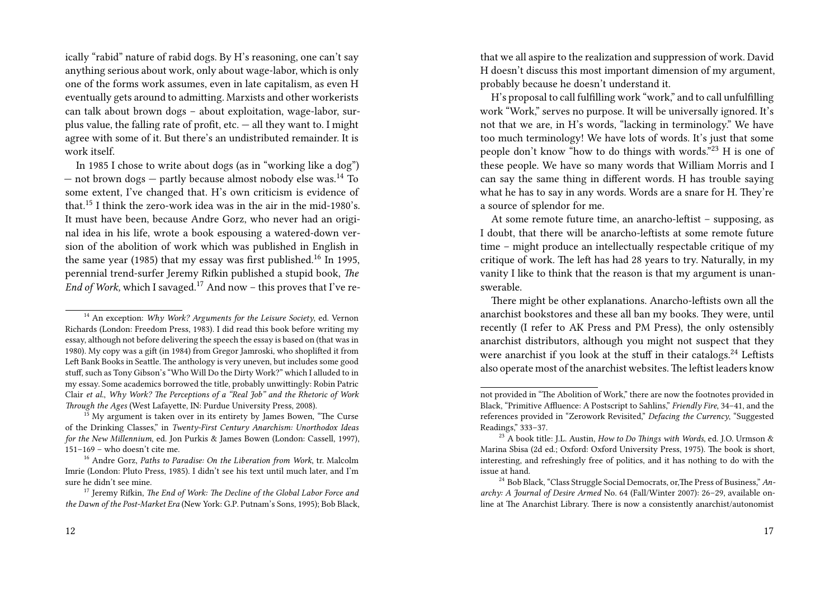ically "rabid" nature of rabid dogs. By H's reasoning, one can't say anything serious about work, only about wage-labor, which is only one of the forms work assumes, even in late capitalism, as even H eventually gets around to admitting. Marxists and other workerists can talk about brown dogs – about exploitation, wage-labor, surplus value, the falling rate of profit, etc.  $-$  all they want to. I might agree with some of it. But there's an undistributed remainder. It is work itself.

In 1985 I chose to write about dogs (as in "working like a dog") — not brown dogs — partly because almost nobody else was.<sup>14</sup> To some extent, I've changed that. H's own criticism is evidence of that.<sup>15</sup> I think the zero-work idea was in the air in the mid-1980's. It must have been, because Andre Gorz, who never had an original idea in his life, wrote a book espousing a watered-down version of the abolition of work which was published in English in the same year (1985) that my essay was first published.<sup>16</sup> In 1995, perennial trend-surfer Jeremy Rifkin published a stupid book, *The End of Work*, which I savaged.<sup>17</sup> And now – this proves that I've re-

that we all aspire to the realization and suppression of work. David H doesn't discuss this most important dimension of my argument, probably because he doesn't understand it.

H's proposal to call fulfilling work "work," and to call unfulfilling work "Work," serves no purpose. It will be universally ignored. It's not that we are, in H's words, "lacking in terminology." We have too much terminology! We have lots of words. It's just that some people don't know "how to do things with words."<sup>23</sup> H is one of these people. We have so many words that William Morris and I can say the same thing in different words. H has trouble saying what he has to say in any words. Words are a snare for H. They're a source of splendor for me.

At some remote future time, an anarcho-leftist – supposing, as I doubt, that there will be anarcho-leftists at some remote future time – might produce an intellectually respectable critique of my critique of work. The left has had 28 years to try. Naturally, in my vanity I like to think that the reason is that my argument is unanswerable.

There might be other explanations. Anarcho-leftists own all the anarchist bookstores and these all ban my books. They were, until recently (I refer to AK Press and PM Press), the only ostensibly anarchist distributors, although you might not suspect that they were anarchist if you look at the stuff in their catalogs.<sup>24</sup> Leftists also operate most of the anarchist websites.The leftist leaders know

<sup>14</sup> An exception: *Why Work? Arguments for the Leisure Society*, ed. Vernon Richards (London: Freedom Press, 1983). I did read this book before writing my essay, although not before delivering the speech the essay is based on (that was in 1980). My copy was a gift (in 1984) from Gregor Jamroski, who shoplifted it from Left Bank Books in Seattle. The anthology is very uneven, but includes some good stuff, such as Tony Gibson's "Who Will Do the Dirty Work?" which I alluded to in my essay. Some academics borrowed the title, probably unwittingly: Robin Patric Clair *et al*., *Why Work? The Perceptions of a "Real Job" and the Rhetoric of Work Through the Ages* (West Lafayette, IN: Purdue University Press, 2008).

 $15$  My argument is taken over in its entirety by James Bowen, "The Curse of the Drinking Classes," in *Twenty-First Century Anarchism: Unorthodox Ideas for the New Millennium*, ed. Jon Purkis & James Bowen (London: Cassell, 1997), 151–169 – who doesn't cite me.

<sup>16</sup> Andre Gorz, *Paths to Paradise: On the Liberation from Work*, tr. Malcolm Imrie (London: Pluto Press, 1985). I didn't see his text until much later, and I'm sure he didn't see mine.

<sup>17</sup> Jeremy Rifkin, *The End of Work: The Decline of the Global Labor Force and the Dawn of the Post-Market Era* (New York: G.P. Putnam's Sons, 1995); Bob Black,

not provided in "The Abolition of Work," there are now the footnotes provided in Black, "Primitive Affluence: A Postscript to Sahlins," *Friendly Fire*, 34–41, and the references provided in "Zerowork Revisited," *Defacing the Currency*, "Suggested Readings," 333–37.

<sup>23</sup> A book title: J.L. Austin, *How to Do Things with Words*, ed. J.O. Urmson & Marina Sbisa (2d ed.; Oxford: Oxford University Press, 1975). The book is short, interesting, and refreshingly free of politics, and it has nothing to do with the issue at hand.

<sup>24</sup> Bob Black, "Class Struggle Social Democrats, or,The Press of Business," *Anarchy: A Journal of Desire Armed* No. 64 (Fall/Winter 2007): 26–29, available online at The Anarchist Library. There is now a consistently anarchist/autonomist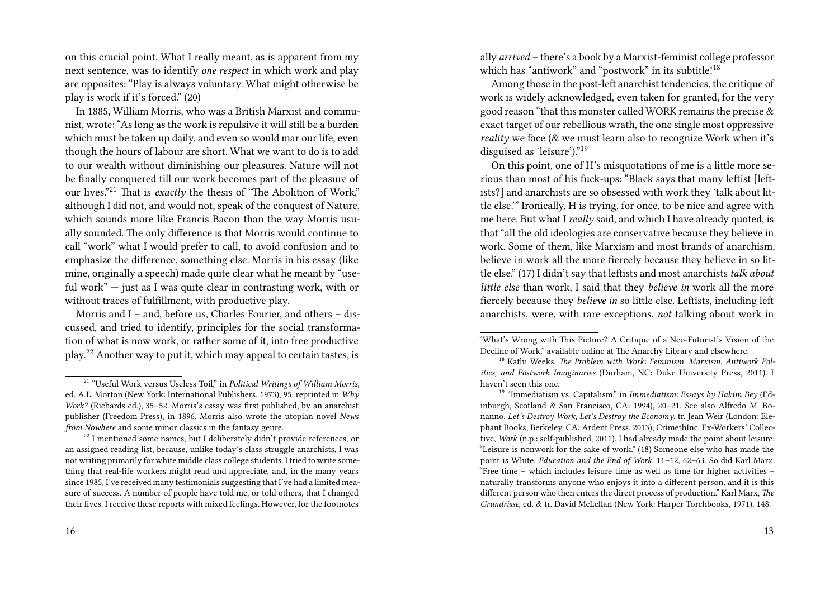on this crucial point. What I really meant, as is apparent from my next sentence, was to identify *one respect* in which work and play are opposites: "Play is always voluntary. What might otherwise be play is work if it's forced." (20)

In 1885, William Morris, who was a British Marxist and communist, wrote: "As long as the work is repulsive it will still be a burden which must be taken up daily, and even so would mar our life, even though the hours of labour are short. What we want to do is to add to our wealth without diminishing our pleasures. Nature will not be finally conquered till our work becomes part of the pleasure of our lives."<sup>21</sup> That is *exactly* the thesis of "The Abolition of Work," although I did not, and would not, speak of the conquest of Nature, which sounds more like Francis Bacon than the way Morris usually sounded. The only difference is that Morris would continue to call "work" what I would prefer to call, to avoid confusion and to emphasize the difference, something else. Morris in his essay (like mine, originally a speech) made quite clear what he meant by "useful work" — just as I was quite clear in contrasting work, with or without traces of fulfillment, with productive play.

Morris and I – and, before us, Charles Fourier, and others – discussed, and tried to identify, principles for the social transformation of what is now work, or rather some of it, into free productive play.<sup>22</sup> Another way to put it, which may appeal to certain tastes, is

ally *arrived* – there's a book by a Marxist-feminist college professor which has "antiwork" and "postwork" in its subtitle!<sup>18</sup>

Among those in the post-left anarchist tendencies, the critique of work is widely acknowledged, even taken for granted, for the very good reason "that this monster called WORK remains the precise & exact target of our rebellious wrath, the one single most oppressive *reality* we face (& we must learn also to recognize Work when it's disguised as 'leisure')."<sup>19</sup>

On this point, one of H's misquotations of me is a little more serious than most of his fuck-ups: "Black says that many leftist [leftists?] and anarchists are so obsessed with work they 'talk about little else.'" Ironically, H is trying, for once, to be nice and agree with me here. But what I *really* said, and which I have already quoted, is that "all the old ideologies are conservative because they believe in work. Some of them, like Marxism and most brands of anarchism, believe in work all the more fiercely because they believe in so little else." (17) I didn't say that leftists and most anarchists *talk about little else* than work, I said that they *believe in* work all the more fiercely because they *believe in* so little else. Leftists, including left anarchists, were, with rare exceptions, *not* talking about work in

<sup>19</sup> "Immediatism vs. Capitalism," in *Immediatism: Essays by Hakim Bey* (Edinburgh, Scotland & San Francisco, CA: 1994), 20–21. See also Alfredo M. Bonanno, *Let's Destroy Work, Let's Destroy the Economy*, tr. Jean Weir (London: Elephant Books; Berkeley, CA: Ardent Press, 2013); CrimethInc. Ex-Workers' Collective, *Work* (n.p.: self-published, 2011). I had already made the point about leisure: "Leisure is nonwork for the sake of work." (18) Someone else who has made the point is White, *Education and the End of Work*, 11–12, 62–63. So did Karl Marx: "Free time – which includes leisure time as well as time for higher activities – naturally transforms anyone who enjoys it into a different person, and it is this different person who then enters the direct process of production." Karl Marx, *The Grundrisse*, ed. & tr. David McLellan (New York: Harper Torchbooks, 1971), 148.

<sup>21</sup> "Useful Work versus Useless Toil," in *Political Writings of William Morris*, ed. A.L. Morton (New York: International Publishers, 1973), 95, reprinted in *Why Work?* (Richards ed.), 35–52. Morris's essay was first published, by an anarchist publisher (Freedom Press), in 1896. Morris also wrote the utopian novel *News from Nowhere* and some minor classics in the fantasy genre.

 $^{22}$  I mentioned some names, but I deliberately didn't provide references, or an assigned reading list, because, unlike today's class struggle anarchists, I was not writing primarily for white middle class college students. I tried to write something that real-life workers might read and appreciate, and, in the many years since 1985, I've received many testimonials suggesting that I've had a limited measure of success. A number of people have told me, or told others, that I changed their lives. I receive these reports with mixed feelings. However, for the footnotes

<sup>&</sup>quot;What's Wrong with This Picture? A Critique of a Neo-Futurist's Vision of the Decline of Work," available online at The Anarchy Library and elsewhere.

<sup>18</sup> Kathi Weeks, *The Problem with Work: Feminism, Marxism, Antiwork Politics, and Postwork Imaginaries* (Durham, NC: Duke University Press, 2011). I haven't seen this one.